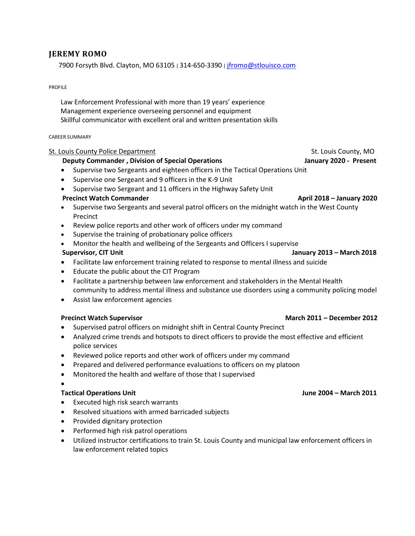# **JEREMY ROMO**

7900 Forsyth Blvd. Clayton, MO 63105 | 314-650-3390 [| jfromo@stlouisco.com](mailto:jfromo@stlouisco.com)

### PROFILE

 Law Enforcement Professional with more than 19 years' experience Management experience overseeing personnel and equipment Skillful communicator with excellent oral and written presentation skills

### CAREER SUMMARY

### St. Louis County Police Department St. Louis County, MO

## **Deputy Commander , Division of Special Operations January 2020 - Present**

- Supervise two Sergeants and eighteen officers in the Tactical Operations Unit
- Supervise one Sergeant and 9 officers in the K-9 Unit
- Supervise two Sergeant and 11 officers in the Highway Safety Unit

## **Precinct Watch Commander April 2018 – January 2020**

- Supervise two Sergeants and several patrol officers on the midnight watch in the West County Precinct
- Review police reports and other work of officers under my command
- Supervise the training of probationary police officers
- Monitor the health and wellbeing of the Sergeants and Officers I supervise

- Facilitate law enforcement training related to response to mental illness and suicide
- Educate the public about the CIT Program
- Facilitate a partnership between law enforcement and stakeholders in the Mental Health community to address mental illness and substance use disorders using a community policing model
- Assist law enforcement agencies

### **Precinct Watch Supervisor March 2011 – December 2012**

- Supervised patrol officers on midnight shift in Central County Precinct
- Analyzed crime trends and hotspots to direct officers to provide the most effective and efficient police services
- Reviewed police reports and other work of officers under my command
- Prepared and delivered performance evaluations to officers on my platoon
- Monitored the health and welfare of those that I supervised

•

# **Tactical Operations Unit June 2004 – March 2011**

- Executed high risk search warrants
- Resolved situations with armed barricaded subjects
- Provided dignitary protection
- Performed high risk patrol operations
- Utilized instructor certifications to train St. Louis County and municipal law enforcement officers in law enforcement related topics

 **Supervisor, CIT Unit January 2013 – March 2018**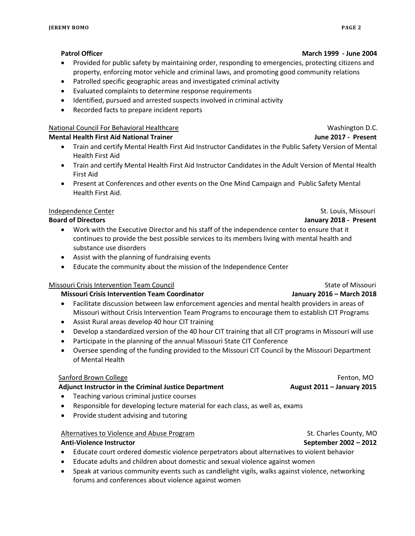- Provided for public safety by maintaining order, responding to emergencies, protecting citizens and property, enforcing motor vehicle and criminal laws, and promoting good community relations
- Patrolled specific geographic areas and investigated criminal activity
- Evaluated complaints to determine response requirements
- Identified, pursued and arrested suspects involved in criminal activity
- Recorded facts to prepare incident reports

## National Council For Behavioral Healthcare Washington D.C. National Council For Behavioral Healthcare

# **Mental Health First Aid National Trainer June 2017 - Present**

- Train and certify Mental Health First Aid Instructor Candidates in the Public Safety Version of Mental Health First Aid
- Train and certify Mental Health First Aid Instructor Candidates in the Adult Version of Mental Health First Aid
- Present at Conferences and other events on the One Mind Campaign and Public Safety Mental Health First Aid.

## Independence Center St. Louis, Missouri

## **Board of Directors January 2018 - Present**

- Work with the Executive Director and his staff of the independence center to ensure that it continues to provide the best possible services to its members living with mental health and substance use disorders
- Assist with the planning of fundraising events
- Educate the community about the mission of the Independence Center

# Missouri Crisis Intervention Team Council Number of State of Missouri State of Missouri

# **Missouri Crisis Intervention Team Coordinator January 2016 – March 2018**

- Facilitate discussion between law enforcement agencies and mental health providers in areas of Missouri without Crisis Intervention Team Programs to encourage them to establish CIT Programs
- Assist Rural areas develop 40 hour CIT training
- Develop a standardized version of the 40 hour CIT training that all CIT programs in Missouri will use
- Participate in the planning of the annual Missouri State CIT Conference
- Oversee spending of the funding provided to the Missouri CIT Council by the Missouri Department of Mental Health

# Sanford Brown College Fenton, MO

# **Adjunct Instructor in the Criminal Justice Department August 2011 – January 2015**

- Teaching various criminal justice courses
- Responsible for developing lecture material for each class, as well as, exams
- Provide student advising and tutoring

# Alternatives to Violence and Abuse Program St. Charles County, MO

### **Anti-Violence Instructor September 2002 – 2012**

- Educate court ordered domestic violence perpetrators about alternatives to violent behavior
- Educate adults and children about domestic and sexual violence against women
- Speak at various community events such as candlelight vigils, walks against violence, networking forums and conferences about violence against women

## **Patrol Officer March 1999 - June 2004**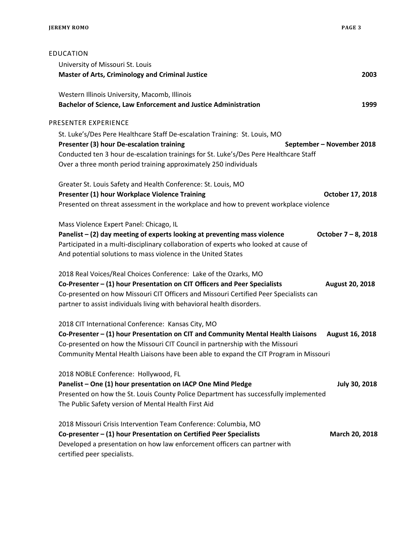| EDUCATION                                                                                                  |
|------------------------------------------------------------------------------------------------------------|
| University of Missouri St. Louis                                                                           |
| <b>Master of Arts, Criminology and Criminal Justice</b><br>2003                                            |
| Western Illinois University, Macomb, Illinois                                                              |
| <b>Bachelor of Science, Law Enforcement and Justice Administration</b><br>1999                             |
| PRESENTER EXPERIENCE                                                                                       |
| St. Luke's/Des Pere Healthcare Staff De-escalation Training: St. Louis, MO                                 |
| Presenter (3) hour De-escalation training<br>September - November 2018                                     |
| Conducted ten 3 hour de-escalation trainings for St. Luke's/Des Pere Healthcare Staff                      |
| Over a three month period training approximately 250 individuals                                           |
| Greater St. Louis Safety and Health Conference: St. Louis, MO                                              |
| Presenter (1) hour Workplace Violence Training<br>October 17, 2018                                         |
| Presented on threat assessment in the workplace and how to prevent workplace violence                      |
| Mass Violence Expert Panel: Chicago, IL                                                                    |
| Panelist - (2) day meeting of experts looking at preventing mass violence<br>October 7 – 8, 2018           |
| Participated in a multi-disciplinary collaboration of experts who looked at cause of                       |
| And potential solutions to mass violence in the United States                                              |
| 2018 Real Voices/Real Choices Conference: Lake of the Ozarks, MO                                           |
| Co-Presenter - (1) hour Presentation on CIT Officers and Peer Specialists<br>August 20, 2018               |
| Co-presented on how Missouri CIT Officers and Missouri Certified Peer Specialists can                      |
| partner to assist individuals living with behavioral health disorders.                                     |
| 2018 CIT International Conference: Kansas City, MO                                                         |
| Co-Presenter - (1) hour Presentation on CIT and Community Mental Health Liaisons<br><b>August 16, 2018</b> |
| Co-presented on how the Missouri CIT Council in partnership with the Missouri                              |
| Community Mental Health Liaisons have been able to expand the CIT Program in Missouri                      |
| 2018 NOBLE Conference: Hollywood, FL                                                                       |
| Panelist - One (1) hour presentation on IACP One Mind Pledge<br><b>July 30, 2018</b>                       |
| Presented on how the St. Louis County Police Department has successfully implemented                       |
| The Public Safety version of Mental Health First Aid                                                       |
| 2018 Missouri Crisis Intervention Team Conference: Columbia, MO                                            |
| Co-presenter - (1) hour Presentation on Certified Peer Specialists<br>March 20, 2018                       |
| Developed a presentation on how law enforcement officers can partner with<br>certified peer specialists.   |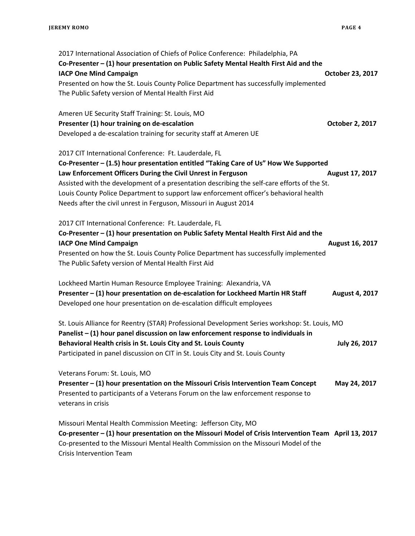2017 International Association of Chiefs of Police Conference: Philadelphia, PA **Co-Presenter – (1) hour presentation on Public Safety Mental Health First Aid and the IACP One Mind Campaign Campaign Campaign Campaign Campaign Campaign Campaign Campaign Campaign Campaign Campaign Campaign Campaign Campaign Campaign Campaign Campaign Campaign Campaign Campaign Campaign Campaign Campaign** Presented on how the St. Louis County Police Department has successfully implemented The Public Safety version of Mental Health First Aid Ameren UE Security Staff Training: St. Louis, MO **Presenter (1) hour training on de-escalation Community Community Community Community Cotober 2, 2017** Developed a de-escalation training for security staff at Ameren UE 2017 CIT International Conference: Ft. Lauderdale, FL **Co-Presenter – (1.5) hour presentation entitled "Taking Care of Us" How We Supported Law Enforcement Officers During the Civil Unrest in Ferguson Manual August 17, 2017** Assisted with the development of a presentation describing the self-care efforts of the St. Louis County Police Department to support law enforcement officer's behavioral health Needs after the civil unrest in Ferguson, Missouri in August 2014 2017 CIT International Conference: Ft. Lauderdale, FL **Co-Presenter – (1) hour presentation on Public Safety Mental Health First Aid and the IACP One Mind Campaign August 16, 2017** Presented on how the St. Louis County Police Department has successfully implemented The Public Safety version of Mental Health First Aid Lockheed Martin Human Resource Employee Training: Alexandria, VA Presenter – (1) hour presentation on de-escalation for Lockheed Martin HR Staff August 4, 2017 Developed one hour presentation on de-escalation difficult employees St. Louis Alliance for Reentry (STAR) Professional Development Series workshop: St. Louis, MO **Panelist – (1) hour panel discussion on law enforcement response to individuals in Behavioral Health crisis in St. Louis City and St. Louis County Transform County August 26, 2017** Participated in panel discussion on CIT in St. Louis City and St. Louis County Veterans Forum: St. Louis, MO **Presenter – (1) hour presentation on the Missouri Crisis Intervention Team Concept May 24, 2017** Presented to participants of a Veterans Forum on the law enforcement response to veterans in crisis Missouri Mental Health Commission Meeting: Jefferson City, MO **Co-presenter – (1) hour presentation on the Missouri Model of Crisis Intervention Team April 13, 2017** Co-presented to the Missouri Mental Health Commission on the Missouri Model of the Crisis Intervention Team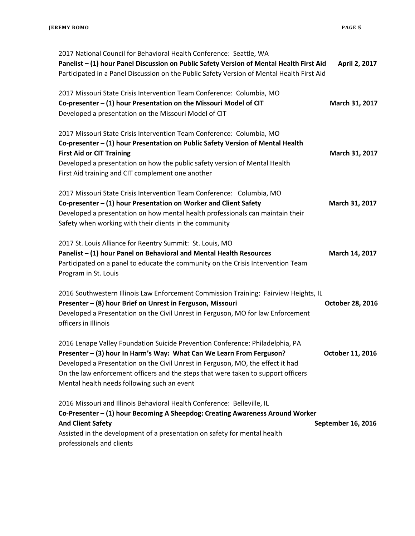| 2017 National Council for Behavioral Health Conference: Seattle, WA                                      |                    |
|----------------------------------------------------------------------------------------------------------|--------------------|
| Panelist - (1) hour Panel Discussion on Public Safety Version of Mental Health First Aid                 | April 2, 2017      |
| Participated in a Panel Discussion on the Public Safety Version of Mental Health First Aid               |                    |
| 2017 Missouri State Crisis Intervention Team Conference: Columbia, MO                                    |                    |
| Co-presenter - (1) hour Presentation on the Missouri Model of CIT                                        | March 31, 2017     |
| Developed a presentation on the Missouri Model of CIT                                                    |                    |
| 2017 Missouri State Crisis Intervention Team Conference: Columbia, MO                                    |                    |
| Co-presenter - (1) hour Presentation on Public Safety Version of Mental Health                           |                    |
| <b>First Aid or CIT Training</b>                                                                         | March 31, 2017     |
| Developed a presentation on how the public safety version of Mental Health                               |                    |
| First Aid training and CIT complement one another                                                        |                    |
| 2017 Missouri State Crisis Intervention Team Conference: Columbia, MO                                    |                    |
| Co-presenter - (1) hour Presentation on Worker and Client Safety                                         | March 31, 2017     |
| Developed a presentation on how mental health professionals can maintain their                           |                    |
| Safety when working with their clients in the community                                                  |                    |
| 2017 St. Louis Alliance for Reentry Summit: St. Louis, MO                                                |                    |
| Panelist - (1) hour Panel on Behavioral and Mental Health Resources                                      | March 14, 2017     |
| Participated on a panel to educate the community on the Crisis Intervention Team                         |                    |
| Program in St. Louis                                                                                     |                    |
| 2016 Southwestern Illinois Law Enforcement Commission Training: Fairview Heights, IL                     |                    |
| Presenter - (8) hour Brief on Unrest in Ferguson, Missouri                                               | October 28, 2016   |
| Developed a Presentation on the Civil Unrest in Ferguson, MO for law Enforcement<br>officers in Illinois |                    |
| 2016 Lenape Valley Foundation Suicide Prevention Conference: Philadelphia, PA                            |                    |
| Presenter - (3) hour In Harm's Way: What Can We Learn From Ferguson?                                     | October 11, 2016   |
| Developed a Presentation on the Civil Unrest in Ferguson, MO, the effect it had                          |                    |
| On the law enforcement officers and the steps that were taken to support officers                        |                    |
| Mental health needs following such an event                                                              |                    |
| 2016 Missouri and Illinois Behavioral Health Conference: Belleville, IL                                  |                    |
| Co-Presenter - (1) hour Becoming A Sheepdog: Creating Awareness Around Worker                            |                    |
| <b>And Client Safety</b>                                                                                 | September 16, 2016 |
| Assisted in the development of a presentation on safety for mental health                                |                    |
| professionals and clients                                                                                |                    |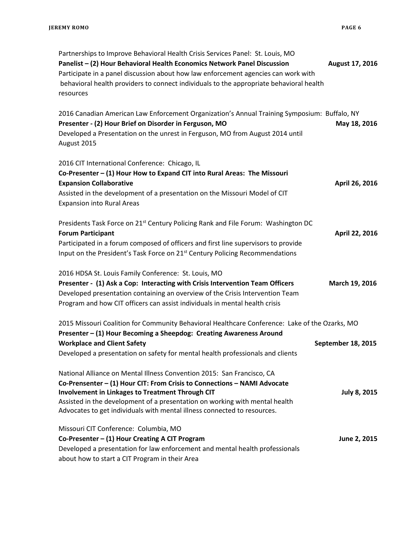| Partnerships to Improve Behavioral Health Crisis Services Panel: St. Louis, MO<br>Panelist - (2) Hour Behavioral Health Economics Network Panel Discussion<br>Participate in a panel discussion about how law enforcement agencies can work with<br>behavioral health providers to connect individuals to the appropriate behavioral health<br>resources | August 17, 2016    |
|----------------------------------------------------------------------------------------------------------------------------------------------------------------------------------------------------------------------------------------------------------------------------------------------------------------------------------------------------------|--------------------|
| 2016 Canadian American Law Enforcement Organization's Annual Training Symposium: Buffalo, NY<br>Presenter - (2) Hour Brief on Disorder in Ferguson, MO<br>Developed a Presentation on the unrest in Ferguson, MO from August 2014 until<br>August 2015                                                                                                   | May 18, 2016       |
| 2016 CIT International Conference: Chicago, IL<br>Co-Presenter - (1) Hour How to Expand CIT into Rural Areas: The Missouri<br><b>Expansion Collaborative</b><br>Assisted in the development of a presentation on the Missouri Model of CIT<br><b>Expansion into Rural Areas</b>                                                                          | April 26, 2016     |
| Presidents Task Force on 21 <sup>st</sup> Century Policing Rank and File Forum: Washington DC<br><b>Forum Participant</b><br>Participated in a forum composed of officers and first line supervisors to provide<br>Input on the President's Task Force on 21 <sup>st</sup> Century Policing Recommendations                                              | April 22, 2016     |
| 2016 HDSA St. Louis Family Conference: St. Louis, MO<br>Presenter - (1) Ask a Cop: Interacting with Crisis Intervention Team Officers<br>Developed presentation containing an overview of the Crisis Intervention Team<br>Program and how CIT officers can assist individuals in mental health crisis                                                    | March 19, 2016     |
| 2015 Missouri Coalition for Community Behavioral Healthcare Conference: Lake of the Ozarks, MO<br>Presenter - (1) Hour Becoming a Sheepdog: Creating Awareness Around                                                                                                                                                                                    |                    |
| <b>Workplace and Client Safety</b><br>Developed a presentation on safety for mental health professionals and clients                                                                                                                                                                                                                                     | September 18, 2015 |

| National Alliance on Mental Illness Convention 2015: San Francisco, CA<br>Co-Prensenter - (1) Hour CIT: From Crisis to Connections - NAMI Advocate<br>Involvement in Linkages to Treatment Through CIT<br>Assisted in the development of a presentation on working with mental health<br>Advocates to get individuals with mental illness connected to resources. | <b>July 8, 2015</b> |
|-------------------------------------------------------------------------------------------------------------------------------------------------------------------------------------------------------------------------------------------------------------------------------------------------------------------------------------------------------------------|---------------------|
| Missouri CIT Conference: Columbia, MO<br>Co-Presenter - (1) Hour Creating A CIT Program                                                                                                                                                                                                                                                                           | June 2, 2015        |

Developed a presentation for law enforcement and mental health professionals about how to start a CIT Program in their Area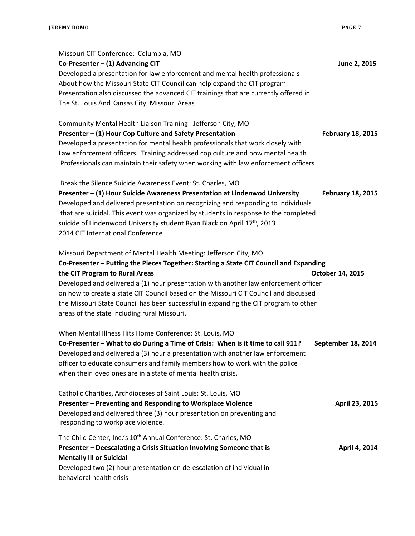| Missouri CIT Conference: Columbia, MO<br>Co-Presenter $-$ (1) Advancing CIT<br>Developed a presentation for law enforcement and mental health professionals<br>About how the Missouri State CIT Council can help expand the CIT program.<br>Presentation also discussed the advanced CIT trainings that are currently offered in<br>The St. Louis And Kansas City, Missouri Areas                                                                                                                                    | June 2, 2015             |
|----------------------------------------------------------------------------------------------------------------------------------------------------------------------------------------------------------------------------------------------------------------------------------------------------------------------------------------------------------------------------------------------------------------------------------------------------------------------------------------------------------------------|--------------------------|
| Community Mental Health Liaison Training: Jefferson City, MO<br>Presenter - (1) Hour Cop Culture and Safety Presentation<br>Developed a presentation for mental health professionals that work closely with<br>Law enforcement officers. Training addressed cop culture and how mental health<br>Professionals can maintain their safety when working with law enforcement officers                                                                                                                                  | <b>February 18, 2015</b> |
| Break the Silence Suicide Awareness Event: St. Charles, MO<br>Presenter - (1) Hour Suicide Awareness Presentation at Lindenwod University<br>Developed and delivered presentation on recognizing and responding to individuals<br>that are suicidal. This event was organized by students in response to the completed<br>suicide of Lindenwood University student Ryan Black on April 17th, 2013<br>2014 CIT International Conference                                                                               | <b>February 18, 2015</b> |
| Missouri Department of Mental Health Meeting: Jefferson City, MO<br>Co-Presenter - Putting the Pieces Together: Starting a State CIT Council and Expanding<br>the CIT Program to Rural Areas<br>Developed and delivered a (1) hour presentation with another law enforcement officer<br>on how to create a state CIT Council based on the Missouri CIT Council and discussed<br>the Missouri State Council has been successful in expanding the CIT program to other<br>areas of the state including rural Missouri. | October 14, 2015         |
| When Mental Illness Hits Home Conference: St. Louis, MO<br>Co-Presenter - What to do During a Time of Crisis: When is it time to call 911?<br>Developed and delivered a (3) hour a presentation with another law enforcement<br>officer to educate consumers and family members how to work with the police<br>when their loved ones are in a state of mental health crisis.                                                                                                                                         | September 18, 2014       |
| Catholic Charities, Archdioceses of Saint Louis: St. Louis, MO<br>Presenter - Preventing and Responding to Workplace Violence<br>Developed and delivered three (3) hour presentation on preventing and<br>responding to workplace violence.                                                                                                                                                                                                                                                                          | April 23, 2015           |
| The Child Center, Inc.'s 10 <sup>th</sup> Annual Conference: St. Charles, MO<br>Presenter - Deescalating a Crisis Situation Involving Someone that is<br><b>Mentally III or Suicidal</b><br>Developed two (2) hour presentation on de-escalation of individual in<br>behavioral health crisis                                                                                                                                                                                                                        | April 4, 2014            |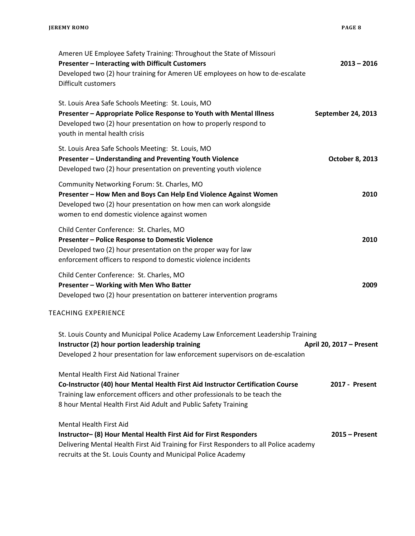| $2013 - 2016$            | Ameren UE Employee Safety Training: Throughout the State of Missouri<br>Presenter - Interacting with Difficult Customers<br>Developed two (2) hour training for Ameren UE employees on how to de-escalate<br>Difficult customers                                            |
|--------------------------|-----------------------------------------------------------------------------------------------------------------------------------------------------------------------------------------------------------------------------------------------------------------------------|
| September 24, 2013       | St. Louis Area Safe Schools Meeting: St. Louis, MO<br>Presenter - Appropriate Police Response to Youth with Mental Illness<br>Developed two (2) hour presentation on how to properly respond to<br>youth in mental health crisis                                            |
| <b>October 8, 2013</b>   | St. Louis Area Safe Schools Meeting: St. Louis, MO<br>Presenter - Understanding and Preventing Youth Violence<br>Developed two (2) hour presentation on preventing youth violence                                                                                           |
| 2010                     | Community Networking Forum: St. Charles, MO<br>Presenter - How Men and Boys Can Help End Violence Against Women<br>Developed two (2) hour presentation on how men can work alongside<br>women to end domestic violence against women                                        |
| 2010                     | Child Center Conference: St. Charles, MO<br>Presenter - Police Response to Domestic Violence<br>Developed two (2) hour presentation on the proper way for law<br>enforcement officers to respond to domestic violence incidents                                             |
| 2009                     | Child Center Conference: St. Charles, MO<br>Presenter - Working with Men Who Batter<br>Developed two (2) hour presentation on batterer intervention programs                                                                                                                |
|                          | <b>TEACHING EXPERIENCE</b>                                                                                                                                                                                                                                                  |
| April 20, 2017 - Present | St. Louis County and Municipal Police Academy Law Enforcement Leadership Training<br>Instructor (2) hour portion leadership training<br>Developed 2 hour presentation for law enforcement supervisors on de-escalation                                                      |
| 2017 - Present           | Mental Health First Aid National Trainer<br>Co-Instructor (40) hour Mental Health First Aid Instructor Certification Course<br>Training law enforcement officers and other professionals to be teach the<br>8 hour Mental Health First Aid Adult and Public Safety Training |
| $2015 -$ Present         | <b>Mental Health First Aid</b><br>Instructor- (8) Hour Mental Health First Aid for First Responders<br>Delivering Mental Health First Aid Training for First Responders to all Police academy<br>recruits at the St. Louis County and Municipal Police Academy              |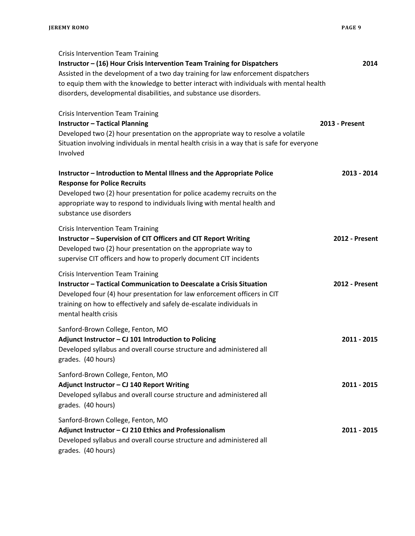| <b>Crisis Intervention Team Training</b><br>Instructor – (16) Hour Crisis Intervention Team Training for Dispatchers<br>Assisted in the development of a two day training for law enforcement dispatchers<br>to equip them with the knowledge to better interact with individuals with mental health<br>disorders, developmental disabilities, and substance use disorders. | 2014                  |
|-----------------------------------------------------------------------------------------------------------------------------------------------------------------------------------------------------------------------------------------------------------------------------------------------------------------------------------------------------------------------------|-----------------------|
| <b>Crisis Intervention Team Training</b><br><b>Instructor - Tactical Planning</b><br>Developed two (2) hour presentation on the appropriate way to resolve a volatile<br>Situation involving individuals in mental health crisis in a way that is safe for everyone<br>Involved                                                                                             | <b>2013 - Present</b> |
| Instructor - Introduction to Mental Illness and the Appropriate Police<br><b>Response for Police Recruits</b><br>Developed two (2) hour presentation for police academy recruits on the<br>appropriate way to respond to individuals living with mental health and<br>substance use disorders                                                                               | 2013 - 2014           |
| <b>Crisis Intervention Team Training</b><br>Instructor - Supervision of CIT Officers and CIT Report Writing<br>Developed two (2) hour presentation on the appropriate way to<br>supervise CIT officers and how to properly document CIT incidents                                                                                                                           | <b>2012 - Present</b> |
| <b>Crisis Intervention Team Training</b><br>Instructor - Tactical Communication to Deescalate a Crisis Situation<br>Developed four (4) hour presentation for law enforcement officers in CIT<br>training on how to effectively and safely de-escalate individuals in<br>mental health crisis                                                                                | 2012 - Present        |
| Sanford-Brown College, Fenton, MO<br>Adjunct Instructor - CJ 101 Introduction to Policing<br>Developed syllabus and overall course structure and administered all<br>grades. (40 hours)                                                                                                                                                                                     | 2011 - 2015           |
| Sanford-Brown College, Fenton, MO<br>Adjunct Instructor - CJ 140 Report Writing<br>Developed syllabus and overall course structure and administered all<br>grades. (40 hours)                                                                                                                                                                                               | 2011 - 2015           |
| Sanford-Brown College, Fenton, MO<br>Adjunct Instructor - CJ 210 Ethics and Professionalism<br>Developed syllabus and overall course structure and administered all<br>grades. (40 hours)                                                                                                                                                                                   | 2011 - 2015           |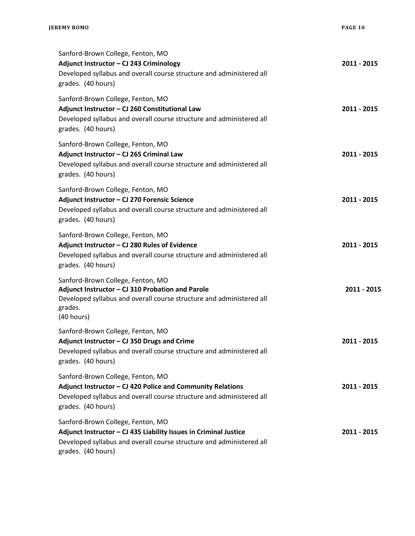| Sanford-Brown College, Fenton, MO<br>Adjunct Instructor - CJ 243 Criminology<br>Developed syllabus and overall course structure and administered all<br>grades. (40 hours)                          | 2011 - 2015 |
|-----------------------------------------------------------------------------------------------------------------------------------------------------------------------------------------------------|-------------|
| Sanford-Brown College, Fenton, MO<br>Adjunct Instructor - CJ 260 Constitutional Law<br>Developed syllabus and overall course structure and administered all<br>grades. (40 hours)                   | 2011 - 2015 |
| Sanford-Brown College, Fenton, MO<br>Adjunct Instructor - CJ 265 Criminal Law<br>Developed syllabus and overall course structure and administered all<br>grades. (40 hours)                         | 2011 - 2015 |
| Sanford-Brown College, Fenton, MO<br>Adjunct Instructor - CJ 270 Forensic Science<br>Developed syllabus and overall course structure and administered all<br>grades. (40 hours)                     | 2011 - 2015 |
| Sanford-Brown College, Fenton, MO<br>Adjunct Instructor - CJ 280 Rules of Evidence<br>Developed syllabus and overall course structure and administered all<br>grades. (40 hours)                    | 2011 - 2015 |
| Sanford-Brown College, Fenton, MO<br>Adjunct Instructor - CJ 310 Probation and Parole<br>Developed syllabus and overall course structure and administered all<br>grades.<br>(40 hours)              | 2011 - 2015 |
| Sanford-Brown College, Fenton, MO<br>Adjunct Instructor - CJ 350 Drugs and Crime<br>Developed syllabus and overall course structure and administered all<br>grades. (40 hours)                      | 2011 - 2015 |
| Sanford-Brown College, Fenton, MO<br>Adjunct Instructor - CJ 420 Police and Community Relations<br>Developed syllabus and overall course structure and administered all<br>grades. (40 hours)       | 2011 - 2015 |
| Sanford-Brown College, Fenton, MO<br>Adjunct Instructor - CJ 435 Liability Issues in Criminal Justice<br>Developed syllabus and overall course structure and administered all<br>grades. (40 hours) | 2011 - 2015 |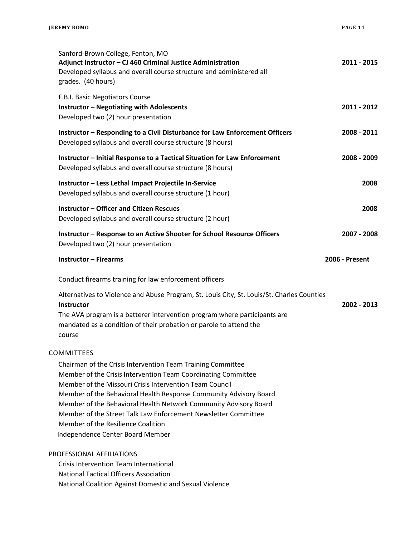| Sanford-Brown College, Fenton, MO<br>Adjunct Instructor - CJ 460 Criminal Justice Administration<br>Developed syllabus and overall course structure and administered all<br>grades. (40 hours)                                                                                                                                                                                                                                                                               | 2011 - 2015           |
|------------------------------------------------------------------------------------------------------------------------------------------------------------------------------------------------------------------------------------------------------------------------------------------------------------------------------------------------------------------------------------------------------------------------------------------------------------------------------|-----------------------|
| F.B.I. Basic Negotiators Course<br><b>Instructor - Negotiating with Adolescents</b><br>Developed two (2) hour presentation                                                                                                                                                                                                                                                                                                                                                   | 2011 - 2012           |
| Instructor - Responding to a Civil Disturbance for Law Enforcement Officers<br>Developed syllabus and overall course structure (8 hours)                                                                                                                                                                                                                                                                                                                                     | 2008 - 2011           |
| Instructor - Initial Response to a Tactical Situation for Law Enforcement<br>Developed syllabus and overall course structure (8 hours)                                                                                                                                                                                                                                                                                                                                       | 2008 - 2009           |
| Instructor - Less Lethal Impact Projectile In-Service<br>Developed syllabus and overall course structure (1 hour)                                                                                                                                                                                                                                                                                                                                                            | 2008                  |
| <b>Instructor - Officer and Citizen Rescues</b><br>Developed syllabus and overall course structure (2 hour)                                                                                                                                                                                                                                                                                                                                                                  | 2008                  |
| Instructor - Response to an Active Shooter for School Resource Officers<br>Developed two (2) hour presentation                                                                                                                                                                                                                                                                                                                                                               | 2007 - 2008           |
| <b>Instructor - Firearms</b>                                                                                                                                                                                                                                                                                                                                                                                                                                                 | <b>2006 - Present</b> |
| Conduct firearms training for law enforcement officers                                                                                                                                                                                                                                                                                                                                                                                                                       |                       |
| Alternatives to Violence and Abuse Program, St. Louis City, St. Louis/St. Charles Counties<br><b>Instructor</b><br>The AVA program is a batterer intervention program where participants are<br>mandated as a condition of their probation or parole to attend the<br>course                                                                                                                                                                                                 | 2002 - 2013           |
| COMMITTEES                                                                                                                                                                                                                                                                                                                                                                                                                                                                   |                       |
| Chairman of the Crisis Intervention Team Training Committee<br>Member of the Crisis Intervention Team Coordinating Committee<br>Member of the Missouri Crisis Intervention Team Council<br>Member of the Behavioral Health Response Community Advisory Board<br>Member of the Behavioral Health Network Community Advisory Board<br>Member of the Street Talk Law Enforcement Newsletter Committee<br>Member of the Resilience Coalition<br>Independence Center Board Member |                       |
| PROFESSIONAL AFFILIATIONS                                                                                                                                                                                                                                                                                                                                                                                                                                                    |                       |
| <b>Crisis Intervention Team International</b>                                                                                                                                                                                                                                                                                                                                                                                                                                |                       |
| <b>National Tactical Officers Association</b><br>National Coalition Against Domestic and Sexual Violence                                                                                                                                                                                                                                                                                                                                                                     |                       |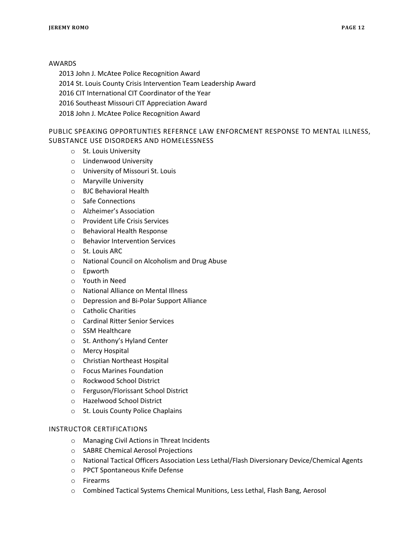## AWARDS

2013 John J. McAtee Police Recognition Award

2014 St. Louis County Crisis Intervention Team Leadership Award

2016 CIT International CIT Coordinator of the Year

2016 Southeast Missouri CIT Appreciation Award

2018 John J. McAtee Police Recognition Award

# PUBLIC SPEAKING OPPORTUNTIES REFERNCE LAW ENFORCMENT RESPONSE TO MENTAL ILLNESS, SUBSTANCE USE DISORDERS AND HOMELESSNESS

- o St. Louis University
- o Lindenwood University
- o University of Missouri St. Louis
- o Maryville University
- o BJC Behavioral Health
- o Safe Connections
- o Alzheimer's Association
- o Provident Life Crisis Services
- o Behavioral Health Response
- o Behavior Intervention Services
- o St. Louis ARC
- o National Council on Alcoholism and Drug Abuse
- o Epworth
- o Youth in Need
- o National Alliance on Mental Illness
- o Depression and Bi-Polar Support Alliance
- o Catholic Charities
- o Cardinal Ritter Senior Services
- o SSM Healthcare
- o St. Anthony's Hyland Center
- o Mercy Hospital
- o Christian Northeast Hospital
- o Focus Marines Foundation
- o Rockwood School District
- o Ferguson/Florissant School District
- o Hazelwood School District
- o St. Louis County Police Chaplains

### INSTRUCTOR CERTIFICATIONS

- o Managing Civil Actions in Threat Incidents
- o SABRE Chemical Aerosol Projections
- o National Tactical Officers Association Less Lethal/Flash Diversionary Device/Chemical Agents
- o PPCT Spontaneous Knife Defense
- o Firearms
- o Combined Tactical Systems Chemical Munitions, Less Lethal, Flash Bang, Aerosol